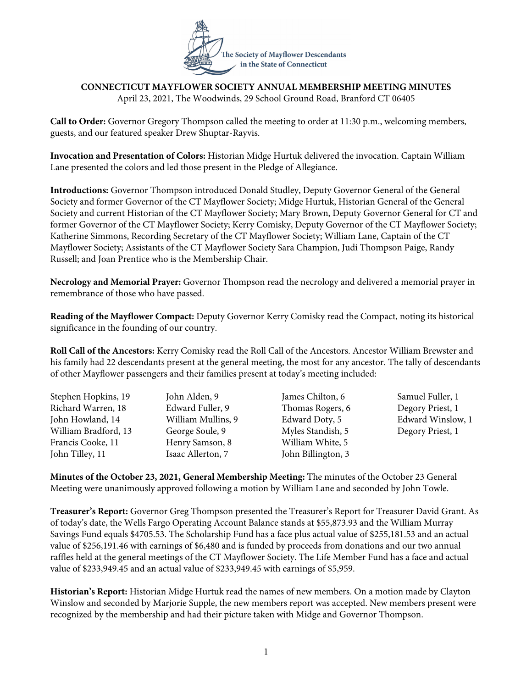

## **CONNECTICUT MAYFLOWER SOCIETY ANNUAL MEMBERSHIP MEETING MINUTES** April 23, 2021, The Woodwinds, 29 School Ground Road, Branford CT 06405

**Call to Order:** Governor Gregory Thompson called the meeting to order at 11:30 p.m., welcoming members, guests, and our featured speaker Drew Shuptar-Rayvis.

**Invocation and Presentation of Colors:** Historian Midge Hurtuk delivered the invocation. Captain William Lane presented the colors and led those present in the Pledge of Allegiance.

**Introductions:** Governor Thompson introduced Donald Studley, Deputy Governor General of the General Society and former Governor of the CT Mayflower Society; Midge Hurtuk, Historian General of the General Society and current Historian of the CT Mayflower Society; Mary Brown, Deputy Governor General for CT and former Governor of the CT Mayflower Society; Kerry Comisky, Deputy Governor of the CT Mayflower Society; Katherine Simmons, Recording Secretary of the CT Mayflower Society; William Lane, Captain of the CT Mayflower Society; Assistants of the CT Mayflower Society Sara Champion, Judi Thompson Paige, Randy Russell; and Joan Prentice who is the Membership Chair.

**Necrology and Memorial Prayer:** Governor Thompson read the necrology and delivered a memorial prayer in remembrance of those who have passed.

**Reading of the Mayflower Compact:** Deputy Governor Kerry Comisky read the Compact, noting its historical significance in the founding of our country.

**Roll Call of the Ancestors:** Kerry Comisky read the Roll Call of the Ancestors. Ancestor William Brewster and his family had 22 descendants present at the general meeting, the most for any ancestor. The tally of descendants of other Mayflower passengers and their families present at today's meeting included:

| Stephen Hopkins, 19  | John Alden, 9      | James Chilton, 6   | Samuel Fuller, 1  |
|----------------------|--------------------|--------------------|-------------------|
| Richard Warren, 18   | Edward Fuller, 9   | Thomas Rogers, 6   | Degory Priest, 1  |
| John Howland, 14     | William Mullins, 9 | Edward Doty, 5     | Edward Winslow, 1 |
| William Bradford, 13 | George Soule, 9    | Myles Standish, 5  | Degory Priest, 1  |
| Francis Cooke, 11    | Henry Samson, 8    | William White, 5   |                   |
| John Tilley, 11      | Isaac Allerton, 7  | John Billington, 3 |                   |

**Minutes of the October 23, 2021, General Membership Meeting:** The minutes of the October 23 General Meeting were unanimously approved following a motion by William Lane and seconded by John Towle.

**Treasurer's Report:** Governor Greg Thompson presented the Treasurer's Report for Treasurer David Grant. As of today's date, the Wells Fargo Operating Account Balance stands at \$55,873.93 and the William Murray Savings Fund equals \$4705.53. The Scholarship Fund has a face plus actual value of \$255,181.53 and an actual value of \$256,191.46 with earnings of \$6,480 and is funded by proceeds from donations and our two annual raffles held at the general meetings of the CT Mayflower Society. The Life Member Fund has a face and actual value of \$233,949.45 and an actual value of \$233,949.45 with earnings of \$5,959.

**Historian's Report:** Historian Midge Hurtuk read the names of new members. On a motion made by Clayton Winslow and seconded by Marjorie Supple, the new members report was accepted. New members present were recognized by the membership and had their picture taken with Midge and Governor Thompson.